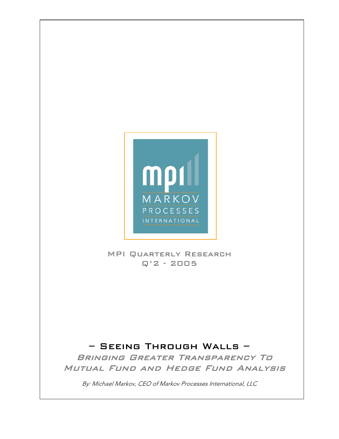

# MPI Quarterly Research Q'2 - 2005

# – Seeing Through Walls –

Bringing Greater Transparency To Mutual Fund and Hedge Fund Analysis

By: Michael Markov, CEO of Markov Processes International, LLC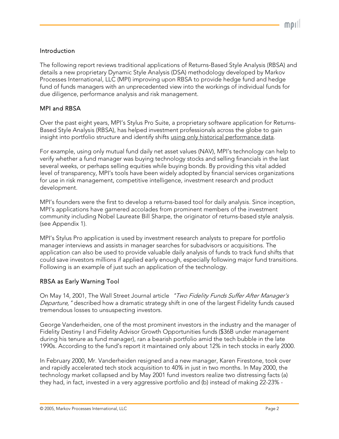### Introduction

The following report reviews traditional applications of Returns-Based Style Analysis (RBSA) and details a new proprietary Dynamic Style Analysis (DSA) methodology developed by Markov Processes International, LLC (MPI) improving upon RBSA to provide hedge fund and hedge fund of funds managers with an unprecedented view into the workings of individual funds for due diligence, performance analysis and risk management.

#### MPI and RBSA

Over the past eight years, MPI's Stylus Pro Suite, a proprietary software application for Returns-Based Style Analysis (RBSA), has helped investment professionals across the globe to gain insight into portfolio structure and identify shifts using only historical performance data.

For example, using only mutual fund daily net asset values (NAV), MPI's technology can help to verify whether a fund manager was buying technology stocks and selling financials in the last several weeks, or perhaps selling equities while buying bonds. By providing this vital added level of transparency, MPI's tools have been widely adopted by financial services organizations for use in risk management, competitive intelligence, investment research and product development.

MPI's founders were the first to develop a returns-based tool for daily analysis. Since inception, MPI's applications have garnered accolades from prominent members of the investment community including Nobel Laureate Bill Sharpe, the originator of returns-based style analysis. (see Appendix 1).

MPI's Stylus Pro application is used by investment research analysts to prepare for portfolio manager interviews and assists in manager searches for subadvisors or acquisitions. The application can also be used to provide valuable daily analysis of funds to track fund shifts that could save investors millions if applied early enough, especially following major fund transitions. Following is an example of just such an application of the technology.

#### RBSA as Early Warning Tool

On May 14, 2001, The Wall Street Journal article "Two Fidelity Funds Suffer After Manager's Departure, " described how a dramatic strategy shift in one of the largest Fidelity funds caused tremendous losses to unsuspecting investors.

George Vanderheiden, one of the most prominent investors in the industry and the manager of Fidelity Destiny I and Fidelity Advisor Growth Opportunities funds (\$36B under management during his tenure as fund manager), ran a bearish portfolio amid the tech bubble in the late 1990s. According to the fund's report it maintained only about 12% in tech stocks in early 2000.

In February 2000, Mr. Vanderheiden resigned and a new manager, Karen Firestone, took over and rapidly accelerated tech stock acquisition to 40% in just in two months. In May 2000, the technology market collapsed and by May 2001 fund investors realize two distressing facts (a) they had, in fact, invested in a very aggressive portfolio and (b) instead of making 22-23% -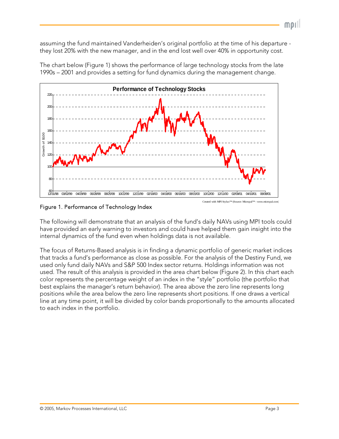assuming the fund maintained Vanderheiden's original portfolio at the time of his departure they lost 20% with the new manager, and in the end lost well over 40% in opportunity cost.



The chart below (Figure 1) shows the performance of large technology stocks from the late 1990s – 2001 and provides a setting for fund dynamics during the management change.

### Figure 1. Performance of Technology Index

The following will demonstrate that an analysis of the fund's daily NAVs using MPI tools could have provided an early warning to investors and could have helped them gain insight into the internal dynamics of the fund even when holdings data is not available.

The focus of Returns-Based analysis is in finding a dynamic portfolio of generic market indices that tracks a fund's performance as close as possible. For the analysis of the Destiny Fund, we used only fund daily NAVs and S&P 500 Index sector returns. Holdings information was not used. The result of this analysis is provided in the area chart below (Figure 2). In this chart each color represents the percentage weight of an index in the "style" portfolio (the portfolio that best explains the manager's return behavior). The area above the zero line represents long positions while the area below the zero line represents short positions. If one draws a vertical line at any time point, it will be divided by color bands proportionally to the amounts allocated to each index in the portfolio.

MDI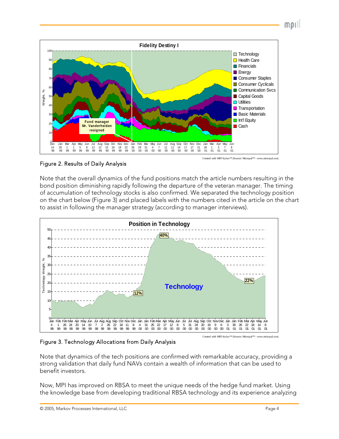



Figure 2. Results of Daily Analysis

Note that the overall dynamics of the fund positions match the article numbers resulting in the bond position diminishing rapidly following the departure of the veteran manager. The timing of accumulation of technology stocks is also confirmed. We separated the technology position on the chart below (Figure 3) and placed labels with the numbers cited in the article on the chart to assist in following the manager strategy (according to manager interviews).



Figure 3. Technology Allocations from Daily Analysis

Note that dynamics of the tech positions are confirmed with remarkable accuracy, providing a strong validation that daily fund NAVs contain a wealth of information that can be used to benefit investors.

Now, MPI has improved on RBSA to meet the unique needs of the hedge fund market. Using the knowledge base from developing traditional RBSA technology and its experience analyzing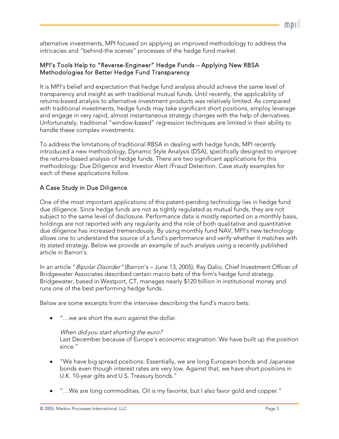alternative investments, MPI focused on applying an improved methodology to address the intricacies and "behind-the scenes" processes of the hedge fund market.

# MPI's Tools Help to "Reverse-Engineer" Hedge Funds – Applying New RBSA Methodologies for Better Hedge Fund Transparency

It is MPI's belief and expectation that hedge fund analysis should achieve the same level of transparency and insight as with traditional mutual funds. Until recently, the applicability of returns-based analysis to alternative investment products was relatively limited. As compared with traditional investments, hedge funds may take significant short positions, employ leverage and engage in very rapid, almost instantaneous strategy changes with the help of derivatives. Unfortunately, traditional "window-based" regression techniques are limited in their ability to handle these complex investments.

To address the limitations of traditional RBSA in dealing with hedge funds, MPI recently introduced a new methodology, Dynamic Style Analysis (DSA), specifically designed to improve the returns-based analysis of hedge funds. There are two significant applications for this methodology: Due Diligence and Investor Alert /Fraud Detection. Case study examples for each of these applications follow.

# A Case Study in Due Diligence

One of the most important applications of this patent-pending technology lies in hedge fund due diligence. Since hedge funds are not as tightly regulated as mutual funds, they are not subject to the same level of disclosure. Performance data is mostly reported on a monthly basis, holdings are not reported with any regularity and the role of both qualitative and quantitative due diligence has increased tremendously. By using monthly fund NAV, MPI's new technology allows one to understand the source of a fund's performance and verify whether it matches with its stated strategy. Below we provide an example of such analysis using a recently published article in Barron's.

In an article "Bipolar Disorder" (Barron's - June 13, 2005), Ray Dalio, Chief Investment Officer of Bridgewater Associates described certain macro bets of the firm's hedge fund strategy. Bridgewater, based in Westport, CT, manages nearly \$120 billion in institutional money and runs one of the best performing hedge funds.

Below are some excerpts from the interview describing the fund's macro bets:

• "…we are short the euro against the dollar.

## When did you start shorting the euro?

Last December because of Europe's economic stagnation. We have built up the position since."

- "We have big spread positions: Essentially, we are long European bonds and Japanese bonds even though interest rates are very low. Against that, we have short positions in U.K. 10-year gilts and U.S. Treasury bonds."
- "…We are long commodities. Oil is my favorite, but I also favor gold and copper."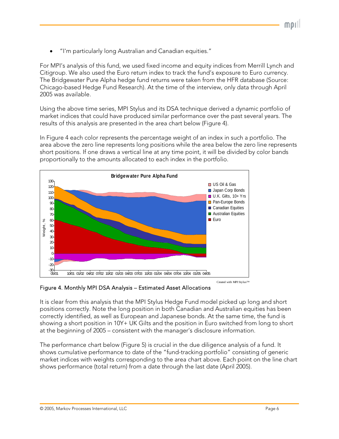• "I'm particularly long Australian and Canadian equities."

For MPI's analysis of this fund, we used fixed income and equity indices from Merrill Lynch and Citigroup. We also used the Euro return index to track the fund's exposure to Euro currency. The Bridgewater Pure Alpha hedge fund returns were taken from the HFR database (Source: Chicago-based Hedge Fund Research). At the time of the interview, only data through April 2005 was available.

Using the above time series, MPI Stylus and its DSA technique derived a dynamic portfolio of market indices that could have produced similar performance over the past several years. The results of this analysis are presented in the area chart below (Figure 4).

In Figure 4 each color represents the percentage weight of an index in such a portfolio. The area above the zero line represents long positions while the area below the zero line represents short positions. If one draws a vertical line at any time point, it will be divided by color bands proportionally to the amounts allocated to each index in the portfolio.



Figure 4. Monthly MPI DSA Analysis – Estimated Asset Allocations

It is clear from this analysis that the MPI Stylus Hedge Fund model picked up long and short positions correctly. Note the long position in both Canadian and Australian equities has been correctly identified, as well as European and Japanese bonds. At the same time, the fund is showing a short position in 10Y+ UK Gilts and the position in Euro switched from long to short at the beginning of 2005 – consistent with the manager's disclosure information.

The performance chart below (Figure 5) is crucial in the due diligence analysis of a fund. It shows cumulative performance to date of the "fund-tracking portfolio" consisting of generic market indices with weights corresponding to the area chart above. Each point on the line chart shows performance (total return) from a date through the last date (April 2005).

mor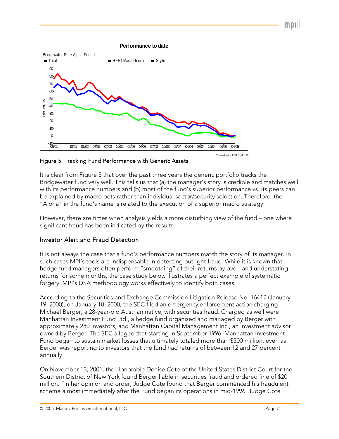



Figure 5. Tracking Fund Performance with Generic Assets

It is clear from Figure 5 that over the past three years the generic portfolio tracks the Bridgewater fund very well. This tells us that (a) the manager's story is credible and matches well with its performance numbers and (b) most of the fund's superior performance vs. its peers can be explained by macro bets rather than individual sector/security selection. Therefore, the "Alpha" in the fund's name is related to the execution of a superior macro strategy

However, there are times when analysis yields a more disturbing view of the fund – one where significant fraud has been indicated by the results.

# Investor Alert and Fraud Detection

It is not always the case that a fund's performance numbers match the story of its manager. In such cases MPI's tools are indispensable in detecting outright fraud. While it is known that hedge fund managers often perform "smoothing" of their returns by over- and understating returns for some months, the case study below illustrates a perfect example of systematic forgery. MPI's DSA methodology works effectively to identify both cases.

According to the Securities and Exchange Commission Litigation Release No. 16412 (January 19, 2000), on January 18, 2000, the SEC filed an emergency enforcement action charging Michael Berger, a 28-year-old Austrian native, with securities fraud. Charged as well were Manhattan Investment Fund Ltd., a hedge fund organized and managed by Berger with approximately 280 investors, and Manhattan Capital Management Inc., an investment advisor owned by Berger. The SEC alleged that starting in September 1996, Manhattan Investment Fund began to sustain market losses that ultimately totaled more than \$300 million, even as Berger was reporting to investors that the fund had returns of between 12 and 27 percent annually.

On November 13, 2001, the Honorable Denise Cote of the United States District Court for the Southern District of New York found Berger liable in securities fraud and ordered fine of \$20 million. "In her opinion and order, Judge Cote found that Berger commenced his fraudulent scheme almost immediately after the Fund began its operations in mid-1996. Judge Cote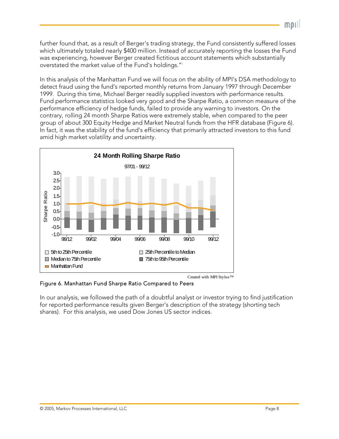further found that, as a result of Berger's trading strategy, the Fund consistently suffered losses which ultimately totaled nearly \$400 million. Instead of accurately reporting the losses the Fund was experiencing, however Berger created fictitious account statements which substantially overstated the market value of the Fund's holdings."1

In this analysis of the Manhattan Fund we will focus on the ability of MPI's DSA methodology to detect fraud using the fund's reported monthly returns from January 1997 through December 1999. During this time, Michael Berger readily supplied investors with performance results. Fund performance statistics looked very good and the Sharpe Ratio, a common measure of the performance efficiency of hedge funds, failed to provide any warning to investors. On the contrary, rolling 24 month Sharpe Ratios were extremely stable, when compared to the peer group of about 300 Equity Hedge and Market Neutral funds from the HFR database (Figure 6). In fact, it was the stability of the fund's efficiency that primarily attracted investors to this fund amid high market volatility and uncertainty.



Figure 6. Manhattan Fund Sharpe Ratio Compared to Peers

In our analysis, we followed the path of a doubtful analyst or investor trying to find justification for reported performance results given Berger's description of the strategy (shorting tech shares). For this analysis, we used Dow Jones US sector indices.

mor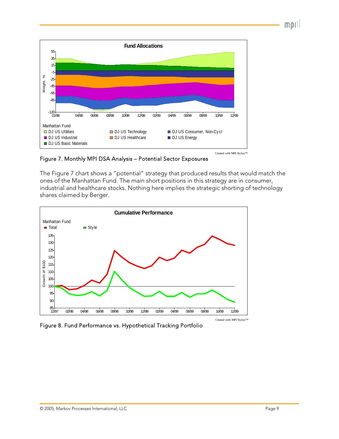morll



Figure 7. Monthly MPI DSA Analysis – Potential Sector Exposures

The Figure 7 chart shows a "potential" strategy that produced results that would match the ones of the Manhattan Fund. The main short positions in this strategy are in consumer, industrial and healthcare stocks. Nothing here implies the strategic shorting of technology shares claimed by Berger.



Figure 8. Fund Performance vs. Hypothetical Tracking Portfolio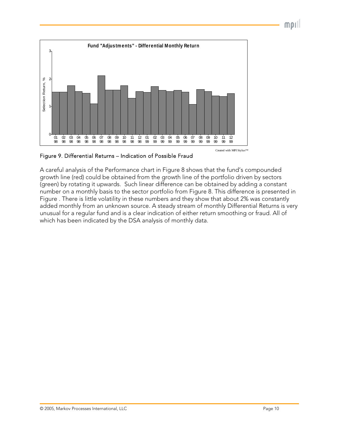$m$ pill



<span id="page-9-0"></span>Figure 9. Differential Returns – Indication of Possible Fraud

A careful analysis of the Performance chart in Figure 8 shows that the fund's compounded growth line (red) could be obtained from the growth line of the portfolio driven by sectors (green) by rotating it upwards. Such linear difference can be obtained by adding a constant number on a monthly basis to the sector portfolio from Figure 8. This difference is presented in [Figure](#page-9-0) . There is little volatility in these numbers and they show that about 2% was constantly added monthly from an unknown source. A steady stream of monthly Differential Returns is very unusual for a regular fund and is a clear indication of either return smoothing or fraud. All of which has been indicated by the DSA analysis of monthly data.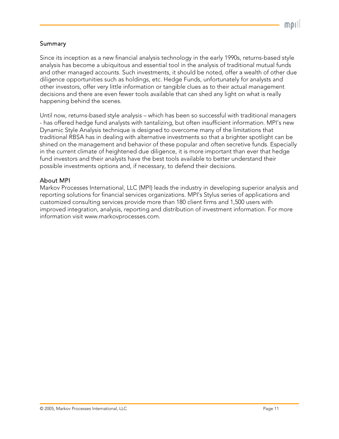## Summary

Since its inception as a new financial analysis technology in the early 1990s, returns-based style analysis has become a ubiquitous and essential tool in the analysis of traditional mutual funds and other managed accounts. Such investments, it should be noted, offer a wealth of other due diligence opportunities such as holdings, etc. Hedge Funds, unfortunately for analysts and other investors, offer very little information or tangible clues as to their actual management decisions and there are even fewer tools available that can shed any light on what is really happening behind the scenes.

Until now, returns-based style analysis – which has been so successful with traditional managers - has offered hedge fund analysts with tantalizing, but often insufficient information. MPI's new Dynamic Style Analysis technique is designed to overcome many of the limitations that traditional RBSA has in dealing with alternative investments so that a brighter spotlight can be shined on the management and behavior of these popular and often secretive funds. Especially in the current climate of heightened due diligence, it is more important than ever that hedge fund investors and their analysts have the best tools available to better understand their possible investments options and, if necessary, to defend their decisions.

# About MPI

Markov Processes International, LLC (MPI) leads the industry in developing superior analysis and reporting solutions for financial services organizations. MPI's Stylus series of applications and customized consulting services provide more than 180 client firms and 1,500 users with improved integration, analysis, reporting and distribution of investment information. For more information visit [www.markovprocesses.com.](http://www.markovprocesses.com/)